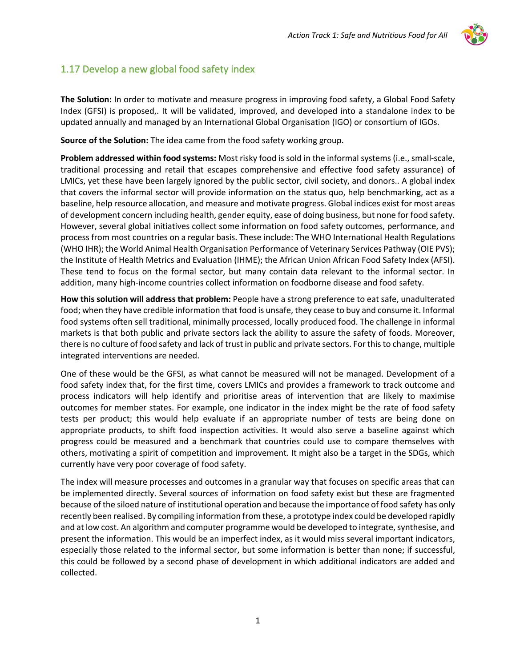

## 1.17 Develop a new global food safety index

**The Solution:** In order to motivate and measure progress in improving food safety, a Global Food Safety Index (GFSI) is proposed,. It will be validated, improved, and developed into a standalone index to be updated annually and managed by an International Global Organisation (IGO) or consortium of IGOs.

**Source of the Solution:** The idea came from the food safety working group.

**Problem addressed within food systems:** Most risky food is sold in the informal systems (i.e., small-scale, traditional processing and retail that escapes comprehensive and effective food safety assurance) of LMICs, yet these have been largely ignored by the public sector, civil society, and donors.. A global index that covers the informal sector will provide information on the status quo, help benchmarking, act as a baseline, help resource allocation, and measure and motivate progress. Global indices exist for most areas of development concern including health, gender equity, ease of doing business, but none for food safety. However, several global initiatives collect some information on food safety outcomes, performance, and process from most countries on a regular basis. These include: The WHO International Health Regulations (WHO IHR); the World Animal Health Organisation Performance of Veterinary Services Pathway (OIE PVS); the Institute of Health Metrics and Evaluation (IHME); the African Union African Food Safety Index (AFSI). These tend to focus on the formal sector, but many contain data relevant to the informal sector. In addition, many high-income countries collect information on foodborne disease and food safety.

**How this solution will address that problem:** People have a strong preference to eat safe, unadulterated food; when they have credible information that food is unsafe, they cease to buy and consume it. Informal food systems often sell traditional, minimally processed, locally produced food. The challenge in informal markets is that both public and private sectors lack the ability to assure the safety of foods. Moreover, there is no culture of food safety and lack of trust in public and private sectors. For this to change, multiple integrated interventions are needed.

One of these would be the GFSI, as what cannot be measured will not be managed. Development of a food safety index that, for the first time, covers LMICs and provides a framework to track outcome and process indicators will help identify and prioritise areas of intervention that are likely to maximise outcomes for member states. For example, one indicator in the index might be the rate of food safety tests per product; this would help evaluate if an appropriate number of tests are being done on appropriate products, to shift food inspection activities. It would also serve a baseline against which progress could be measured and a benchmark that countries could use to compare themselves with others, motivating a spirit of competition and improvement. It might also be a target in the SDGs, which currently have very poor coverage of food safety.

The index will measure processes and outcomes in a granular way that focuses on specific areas that can be implemented directly. Several sources of information on food safety exist but these are fragmented because of the siloed nature of institutional operation and because the importance of food safety has only recently been realised. By compiling information from these, a prototype index could be developed rapidly and at low cost. An algorithm and computer programme would be developed to integrate, synthesise, and present the information. This would be an imperfect index, as it would miss several important indicators, especially those related to the informal sector, but some information is better than none; if successful, this could be followed by a second phase of development in which additional indicators are added and collected.